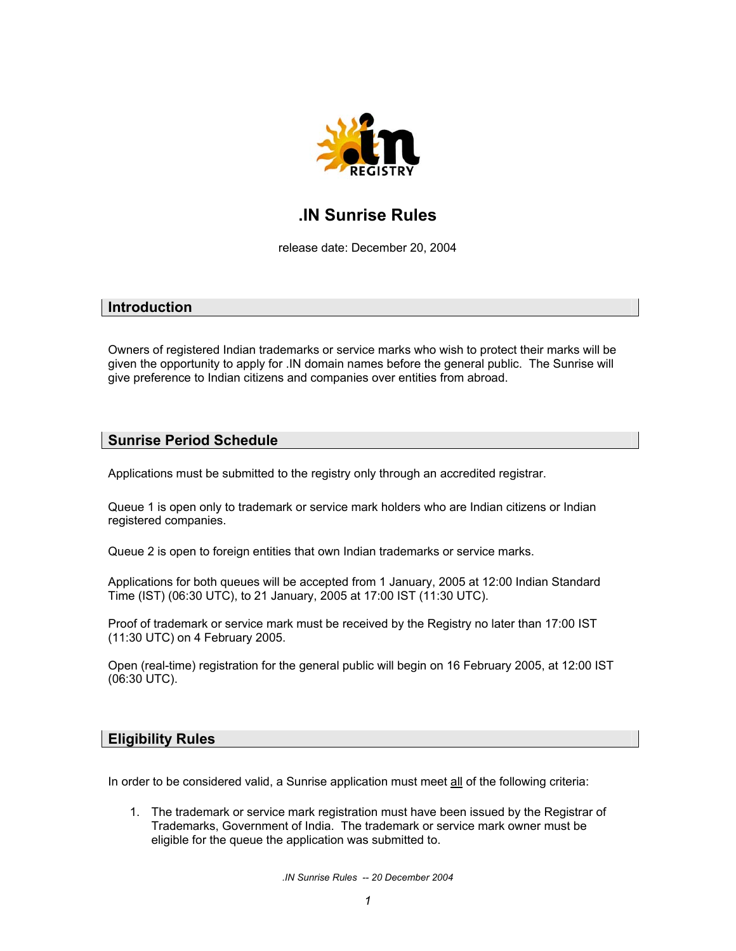

# **.IN Sunrise Rules**

release date: December 20, 2004

### **Introduction**

Owners of registered Indian trademarks or service marks who wish to protect their marks will be given the opportunity to apply for .IN domain names before the general public. The Sunrise will give preference to Indian citizens and companies over entities from abroad.

## **Sunrise Period Schedule**

Applications must be submitted to the registry only through an accredited registrar.

Queue 1 is open only to trademark or service mark holders who are Indian citizens or Indian registered companies.

Queue 2 is open to foreign entities that own Indian trademarks or service marks.

Applications for both queues will be accepted from 1 January, 2005 at 12:00 Indian Standard Time (IST) (06:30 UTC), to 21 January, 2005 at 17:00 IST (11:30 UTC).

Proof of trademark or service mark must be received by the Registry no later than 17:00 IST (11:30 UTC) on 4 February 2005.

Open (real-time) registration for the general public will begin on 16 February 2005, at 12:00 IST (06:30 UTC).

## **Eligibility Rules**

In order to be considered valid, a Sunrise application must meet all of the following criteria:

1. The trademark or service mark registration must have been issued by the Registrar of Trademarks, Government of India. The trademark or service mark owner must be eligible for the queue the application was submitted to.

*.IN Sunrise Rules -- 20 December 2004*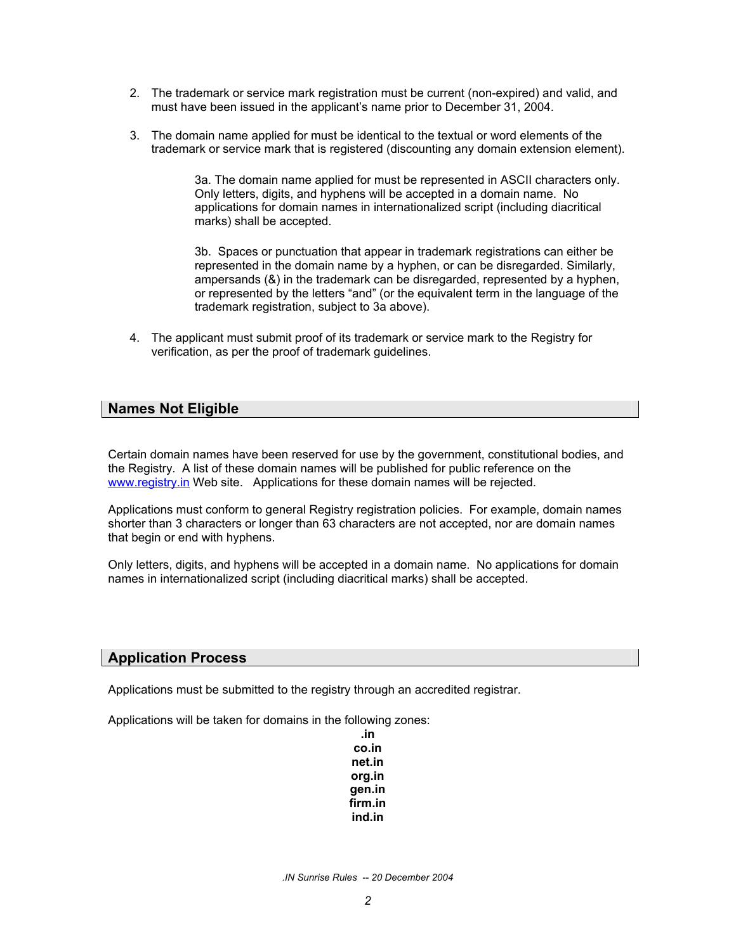- 2. The trademark or service mark registration must be current (non-expired) and valid, and must have been issued in the applicant's name prior to December 31, 2004.
- 3. The domain name applied for must be identical to the textual or word elements of the trademark or service mark that is registered (discounting any domain extension element).

3a. The domain name applied for must be represented in ASCII characters only. Only letters, digits, and hyphens will be accepted in a domain name. No applications for domain names in internationalized script (including diacritical marks) shall be accepted.

3b. Spaces or punctuation that appear in trademark registrations can either be represented in the domain name by a hyphen, or can be disregarded. Similarly, ampersands (&) in the trademark can be disregarded, represented by a hyphen, or represented by the letters "and" (or the equivalent term in the language of the trademark registration, subject to 3a above).

4. The applicant must submit proof of its trademark or service mark to the Registry for verification, as per the proof of trademark guidelines.

## **Names Not Eligible**

Certain domain names have been reserved for use by the government, constitutional bodies, and the Registry. A list of these domain names will be published for public reference on the [www.registry.in](http://www.registry.in/) Web site. Applications for these domain names will be rejected.

Applications must conform to general Registry registration policies. For example, domain names shorter than 3 characters or longer than 63 characters are not accepted, nor are domain names that begin or end with hyphens.

Only letters, digits, and hyphens will be accepted in a domain name. No applications for domain names in internationalized script (including diacritical marks) shall be accepted.

### **Application Process**

Applications must be submitted to the registry through an accredited registrar.

Applications will be taken for domains in the following zones:

**.in co.in net.in org.in gen.in firm.in ind.in**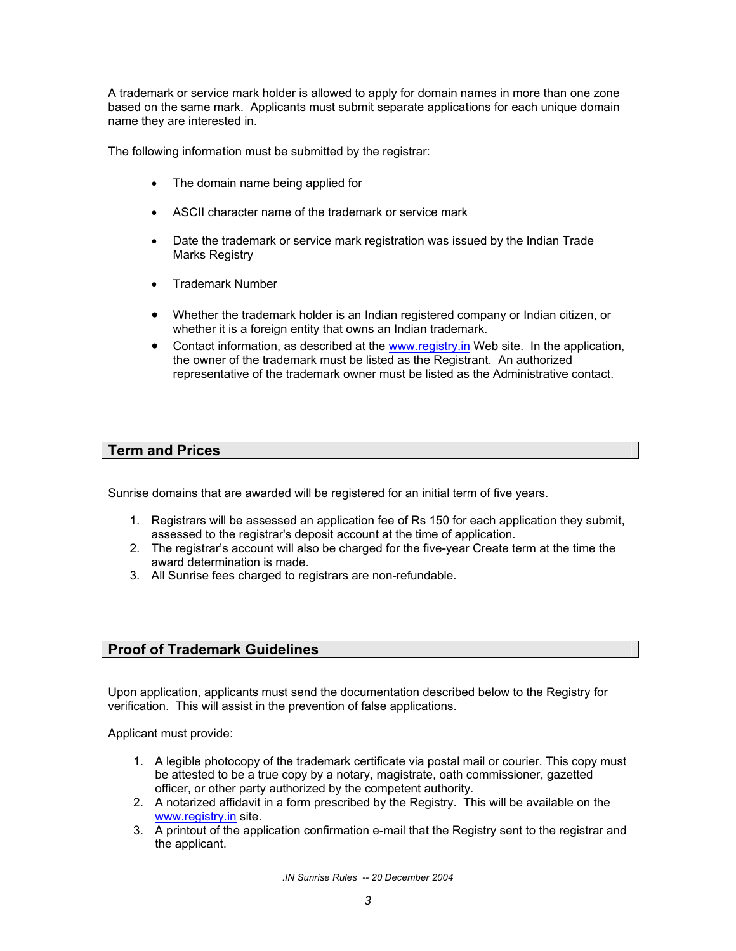A trademark or service mark holder is allowed to apply for domain names in more than one zone based on the same mark. Applicants must submit separate applications for each unique domain name they are interested in.

The following information must be submitted by the registrar:

- The domain name being applied for
- ASCII character name of the trademark or service mark
- Date the trademark or service mark registration was issued by the Indian Trade Marks Registry
- Trademark Number
- Whether the trademark holder is an Indian registered company or Indian citizen, or whether it is a foreign entity that owns an Indian trademark.
- Contact information, as described at the [www.registry.in](http://www.registry.in/) Web site. In the application, the owner of the trademark must be listed as the Registrant. An authorized representative of the trademark owner must be listed as the Administrative contact.

## **Term and Prices**

Sunrise domains that are awarded will be registered for an initial term of five years.

- 1. Registrars will be assessed an application fee of Rs 150 for each application they submit, assessed to the registrar's deposit account at the time of application.
- 2. The registrar's account will also be charged for the five-year Create term at the time the award determination is made.
- 3. All Sunrise fees charged to registrars are non-refundable.

## **Proof of Trademark Guidelines**

Upon application, applicants must send the documentation described below to the Registry for verification. This will assist in the prevention of false applications.

Applicant must provide:

- 1. A legible photocopy of the trademark certificate via postal mail or courier. This copy must be attested to be a true copy by a notary, magistrate, oath commissioner, gazetted officer, or other party authorized by the competent authority.
- 2. A notarized affidavit in a form prescribed by the Registry. This will be available on the [www.registry.in](http://www.registry.in/) site.
- 3. A printout of the application confirmation e-mail that the Registry sent to the registrar and the applicant.

*.IN Sunrise Rules -- 20 December 2004*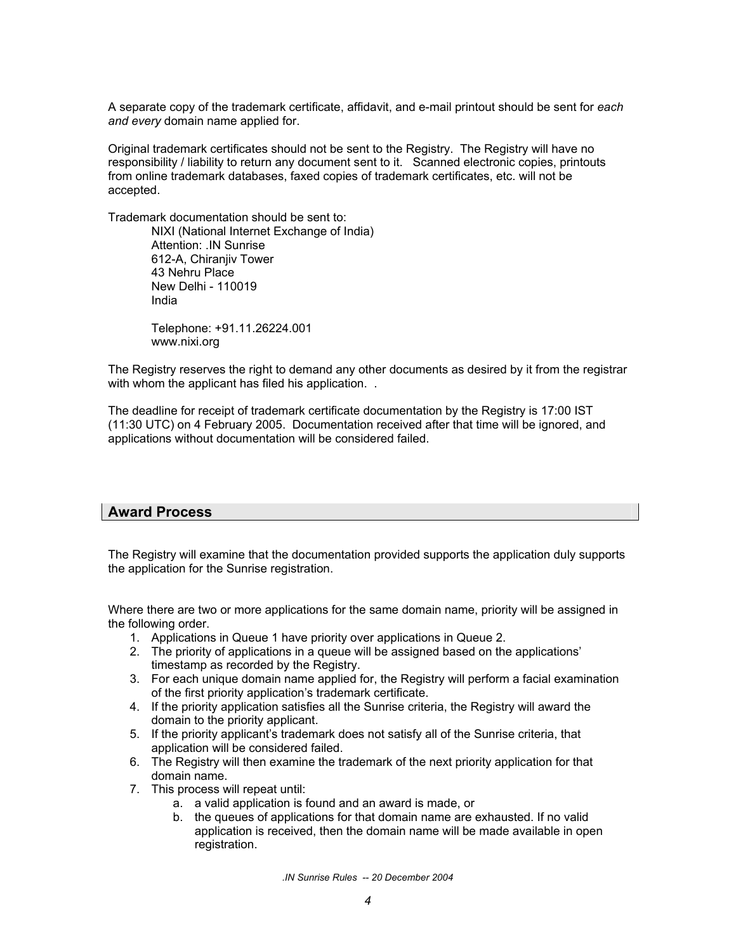A separate copy of the trademark certificate, affidavit, and e-mail printout should be sent for *each and every* domain name applied for.

Original trademark certificates should not be sent to the Registry. The Registry will have no responsibility / liability to return any document sent to it. Scanned electronic copies, printouts from online trademark databases, faxed copies of trademark certificates, etc. will not be accepted.

Trademark documentation should be sent to:

NIXI (National Internet Exchange of India) Attention: .IN Sunrise 612-A, Chiranjiv Tower 43 Nehru Place New Delhi - 110019 India

Telephone: +91.11.26224.001 www.nixi.org

The Registry reserves the right to demand any other documents as desired by it from the registrar with whom the applicant has filed his application. .

The deadline for receipt of trademark certificate documentation by the Registry is 17:00 IST (11:30 UTC) on 4 February 2005. Documentation received after that time will be ignored, and applications without documentation will be considered failed.

## **Award Process**

The Registry will examine that the documentation provided supports the application duly supports the application for the Sunrise registration.

Where there are two or more applications for the same domain name, priority will be assigned in the following order.

- 1. Applications in Queue 1 have priority over applications in Queue 2.
- 2. The priority of applications in a queue will be assigned based on the applications' timestamp as recorded by the Registry.
- 3. For each unique domain name applied for, the Registry will perform a facial examination of the first priority application's trademark certificate.
- 4. If the priority application satisfies all the Sunrise criteria, the Registry will award the domain to the priority applicant.
- 5. If the priority applicant's trademark does not satisfy all of the Sunrise criteria, that application will be considered failed.
- 6. The Registry will then examine the trademark of the next priority application for that domain name.
- 7. This process will repeat until:
	- a. a valid application is found and an award is made, or
	- b. the queues of applications for that domain name are exhausted. If no valid application is received, then the domain name will be made available in open registration.

*.IN Sunrise Rules -- 20 December 2004*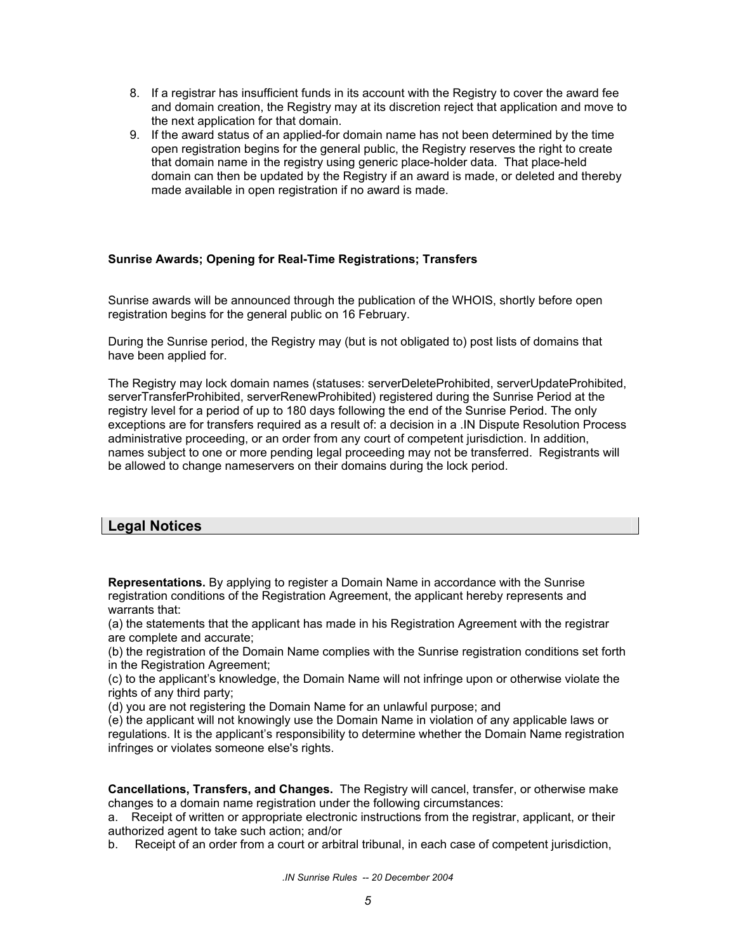- 8. If a registrar has insufficient funds in its account with the Registry to cover the award fee and domain creation, the Registry may at its discretion reject that application and move to the next application for that domain.
- 9. If the award status of an applied-for domain name has not been determined by the time open registration begins for the general public, the Registry reserves the right to create that domain name in the registry using generic place-holder data. That place-held domain can then be updated by the Registry if an award is made, or deleted and thereby made available in open registration if no award is made.

### **Sunrise Awards; Opening for Real-Time Registrations; Transfers**

Sunrise awards will be announced through the publication of the WHOIS, shortly before open registration begins for the general public on 16 February.

During the Sunrise period, the Registry may (but is not obligated to) post lists of domains that have been applied for.

The Registry may lock domain names (statuses: serverDeleteProhibited, serverUpdateProhibited, serverTransferProhibited, serverRenewProhibited) registered during the Sunrise Period at the registry level for a period of up to 180 days following the end of the Sunrise Period. The only exceptions are for transfers required as a result of: a decision in a .IN Dispute Resolution Process administrative proceeding, or an order from any court of competent jurisdiction. In addition, names subject to one or more pending legal proceeding may not be transferred. Registrants will be allowed to change nameservers on their domains during the lock period.

## **Legal Notices**

**Representations.** By applying to register a Domain Name in accordance with the Sunrise registration conditions of the Registration Agreement, the applicant hereby represents and warrants that:

(a) the statements that the applicant has made in his Registration Agreement with the registrar are complete and accurate;

(b) the registration of the Domain Name complies with the Sunrise registration conditions set forth in the Registration Agreement;

(c) to the applicant's knowledge, the Domain Name will not infringe upon or otherwise violate the rights of any third party;

(d) you are not registering the Domain Name for an unlawful purpose; and

(e) the applicant will not knowingly use the Domain Name in violation of any applicable laws or regulations. It is the applicant's responsibility to determine whether the Domain Name registration infringes or violates someone else's rights.

**Cancellations, Transfers, and Changes.** The Registry will cancel, transfer, or otherwise make changes to a domain name registration under the following circumstances:

a. Receipt of written or appropriate electronic instructions from the registrar, applicant, or their authorized agent to take such action; and/or

b. Receipt of an order from a court or arbitral tribunal, in each case of competent jurisdiction,